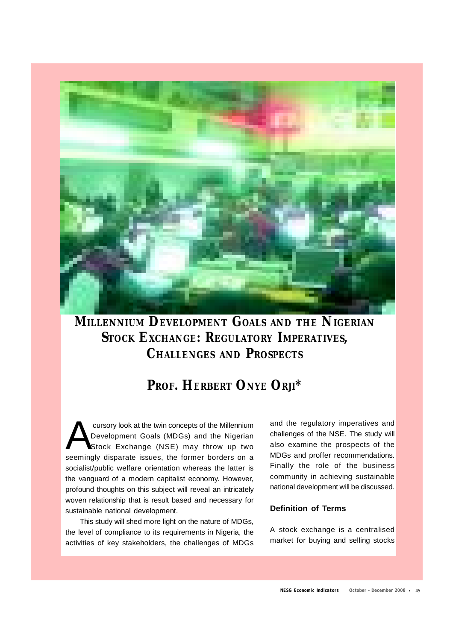

# **MILLENNIUM DEVELOPMENT GOALS AND THE NIGERIAN STOCK EXCHANGE: REGULATORY IMPERATIVES, CHALLENGES AND PROSPECTS**

# **PROF. HERBERT ONYE ORJI\***

cursory look at the twin concepts of the Millennium<br>Development Goals (MDGs) and the Nigerian<br>Stock Exchange (NSE) may throw up two<br>seemingly disparate issues, the former borders on a cursory look at the twin concepts of the Millennium Development Goals (MDGs) and the Nigerian Stock Exchange (NSE) may throw up two socialist/public welfare orientation whereas the latter is the vanguard of a modern capitalist economy. However, profound thoughts on this subject will reveal an intricately woven relationship that is result based and necessary for sustainable national development.

This study will shed more light on the nature of MDGs, the level of compliance to its requirements in Nigeria, the activities of key stakeholders, the challenges of MDGs

and the regulatory imperatives and challenges of the NSE. The study will also examine the prospects of the MDGs and proffer recommendations. Finally the role of the business community in achieving sustainable national development will be discussed.

# **Definition of Terms**

A stock exchange is a centralised market for buying and selling stocks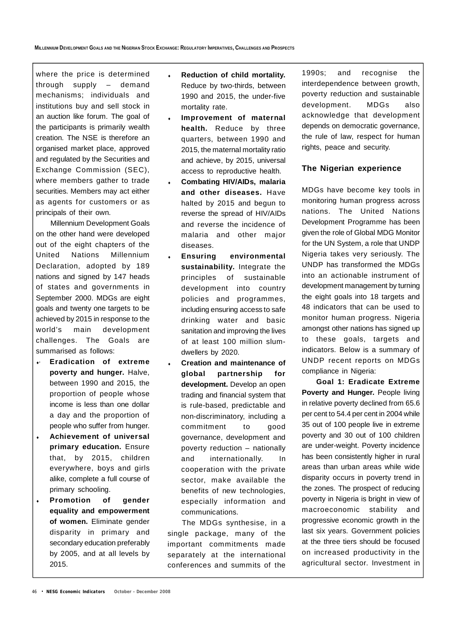where the price is determined through supply – demand mechanisms; individuals and institutions buy and sell stock in an auction like forum. The goal of the participants is primarily wealth creation. The NSE is therefore an organised market place, approved and regulated by the Securities and Exchange Commission (SEC), where members gather to trade securities. Members may act either as agents for customers or as principals of their own.

Millennium Development Goals on the other hand were developed out of the eight chapters of the United Nations Millennium Declaration, adopted by 189 nations and signed by 147 heads of states and governments in September 2000. MDGs are eight goals and twenty one targets to be achieved by 2015 in response to the world's main development challenges. The Goals are summarised as follows:

- · **Eradication of extreme poverty and hunger.** Halve, between 1990 and 2015, the proportion of people whose income is less than one dollar a day and the proportion of people who suffer from hunger.
- **Achievement of universal primary education.** Ensure that, by 2015, children everywhere, boys and girls alike, complete a full course of primary schooling.
- **Promotion of gender equality and empowerment of women.** Eliminate gender disparity in primary and secondary education preferably by 2005, and at all levels by 2015.
- **Reduction of child mortality.** Reduce by two-thirds, between 1990 and 2015, the under-five mortality rate.
- **Improvement of maternal health.** Reduce by three quarters, between 1990 and 2015, the maternal mortality ratio and achieve, by 2015, universal access to reproductive health.
- **Combating HIV/AIDs, malaria and other diseases.** Have halted by 2015 and begun to reverse the spread of HIV/AIDs and reverse the incidence of malaria and other major diseases.
- **Ensuring environmental sustainability.** Integrate the principles of sustainable development into country policies and programmes, including ensuring access to safe drinking water and basic sanitation and improving the lives of at least 100 million slumdwellers by 2020.
- **Creation and maintenance of global partnership for development.** Develop an open trading and financial system that is rule-based, predictable and non-discriminatory, including a commitment to good governance, development and poverty reduction – nationally and internationally. In cooperation with the private sector, make available the benefits of new technologies, especially information and communications.

The MDGs synthesise, in a single package, many of the important commitments made separately at the international conferences and summits of the

1990s; and recognise the interdependence between growth, poverty reduction and sustainable development. MDGs also acknowledge that development depends on democratic governance, the rule of law, respect for human rights, peace and security.

## **The Nigerian experience**

MDGs have become key tools in monitoring human progress across nations. The United Nations Development Programme has been given the role of Global MDG Monitor for the UN System, a role that UNDP Nigeria takes very seriously. The UNDP has transformed the MDGs into an actionable instrument of development management by turning the eight goals into 18 targets and 48 indicators that can be used to monitor human progress. Nigeria amongst other nations has signed up to these goals, targets and indicators. Below is a summary of UNDP recent reports on MDGs compliance in Nigeria:

**Goal 1: Eradicate Extreme Poverty and Hunger.** People living in relative poverty declined from 65.6 per cent to 54.4 per cent in 2004 while 35 out of 100 people live in extreme poverty and 30 out of 100 children are under-weight. Poverty incidence has been consistently higher in rural areas than urban areas while wide disparity occurs in poverty trend in the zones. The prospect of reducing poverty in Nigeria is bright in view of macroeconomic stability and progressive economic growth in the last six years. Government policies at the three tiers should be focused on increased productivity in the agricultural sector. Investment in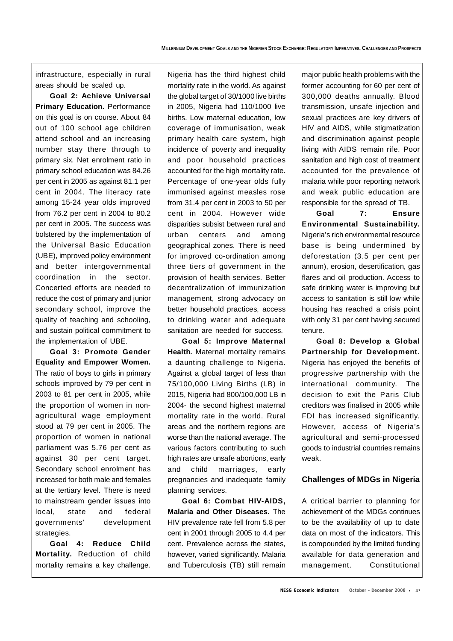infrastructure, especially in rural areas should be scaled up.

**Goal 2: Achieve Universal Primary Education. Performance** on this goal is on course. About 84 out of 100 school age children attend school and an increasing number stay there through to primary six. Net enrolment ratio in primary school education was 84.26 per cent in 2005 as against 81.1 per cent in 2004. The literacy rate among 15-24 year olds improved from 76.2 per cent in 2004 to 80.2 per cent in 2005. The success was bolstered by the implementation of the Universal Basic Education (UBE), improved policy environment and better intergovernmental coordination in the sector. Concerted efforts are needed to reduce the cost of primary and junior secondary school, improve the quality of teaching and schooling, and sustain political commitment to the implementation of UBE.

**Goal 3: Promote Gender Equality and Empower Women.** The ratio of boys to girls in primary schools improved by 79 per cent in 2003 to 81 per cent in 2005, while the proportion of women in nonagricultural wage employment stood at 79 per cent in 2005. The proportion of women in national parliament was 5.76 per cent as against 30 per cent target. Secondary school enrolment has increased for both male and females at the tertiary level. There is need to mainstream gender issues into local, state and federal governments' development strategies.

**Goal 4: Reduce Child Mortality.** Reduction of child mortality remains a key challenge.

Nigeria has the third highest child mortality rate in the world. As against the global target of 30/1000 live births in 2005, Nigeria had 110/1000 live births. Low maternal education, low coverage of immunisation, weak primary health care system, high incidence of poverty and inequality and poor household practices accounted for the high mortality rate. Percentage of one-year olds fully immunised against measles rose from 31.4 per cent in 2003 to 50 per cent in 2004. However wide disparities subsist between rural and urban centers and among geographical zones. There is need for improved co-ordination among three tiers of government in the provision of health services. Better decentralization of immunization management, strong advocacy on better household practices, access to drinking water and adequate sanitation are needed for success.

**Goal 5: Improve Maternal Health.** Maternal mortality remains a daunting challenge to Nigeria. Against a global target of less than 75/100,000 Living Births (LB) in 2015, Nigeria had 800/100,000 LB in 2004- the second highest maternal mortality rate in the world. Rural areas and the northern regions are worse than the national average. The various factors contributing to such high rates are unsafe abortions, early and child marriages, early pregnancies and inadequate family planning services.

**Goal 6: Combat HIV-AIDS, Malaria and Other Diseases.** The HIV prevalence rate fell from 5.8 per cent in 2001 through 2005 to 4.4 per cent. Prevalence across the states, however, varied significantly. Malaria and Tuberculosis (TB) still remain major public health problems with the former accounting for 60 per cent of 300,000 deaths annually. Blood transmission, unsafe injection and sexual practices are key drivers of HIV and AIDS, while stigmatization and discrimination against people living with AIDS remain rife. Poor sanitation and high cost of treatment accounted for the prevalence of malaria while poor reporting network and weak public education are responsible for the spread of TB.

**Goal 7: Ensure Environmental Sustainability.** Nigeria's rich environmental resource base is being undermined by deforestation (3.5 per cent per annum), erosion, desertification, gas flares and oil production. Access to safe drinking water is improving but access to sanitation is still low while housing has reached a crisis point with only 31 per cent having secured tenure.

**Goal 8: Develop a Global Partnership for Development.** Nigeria has enjoyed the benefits of progressive partnership with the international community. The decision to exit the Paris Club creditors was finalised in 2005 while FDI has increased significantly. However, access of Nigeria's agricultural and semi-processed goods to industrial countries remains weak.

### **Challenges of MDGs in Nigeria**

A critical barrier to planning for achievement of the MDGs continues to be the availability of up to date data on most of the indicators. This is compounded by the limited funding available for data generation and management. Constitutional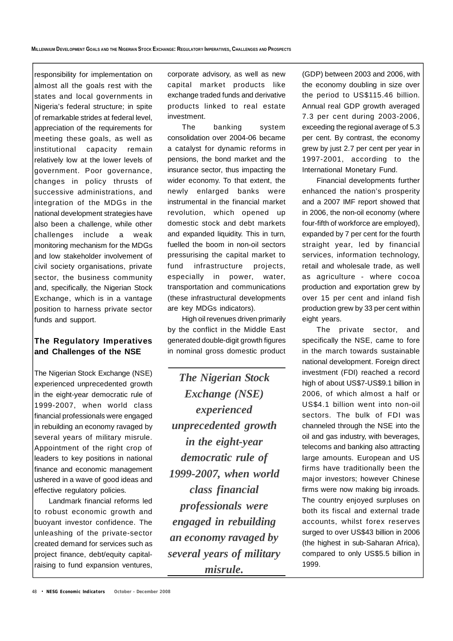responsibility for implementation on almost all the goals rest with the states and local governments in Nigeria's federal structure; in spite of remarkable strides at federal level, appreciation of the requirements for meeting these goals, as well as institutional capacity remain relatively low at the lower levels of government. Poor governance, changes in policy thrusts of successive administrations, and integration of the MDGs in the national development strategies have also been a challenge, while other challenges include a weak monitoring mechanism for the MDGs and low stakeholder involvement of civil society organisations, private sector, the business community and, specifically, the Nigerian Stock Exchange, which is in a vantage position to harness private sector funds and support.

### **The Regulatory Imperatives and Challenges of the NSE**

The Nigerian Stock Exchange (NSE) experienced unprecedented growth in the eight-year democratic rule of 1999-2007, when world class financial professionals were engaged in rebuilding an economy ravaged by several years of military misrule. Appointment of the right crop of leaders to key positions in national finance and economic management ushered in a wave of good ideas and effective regulatory policies.

Landmark financial reforms led to robust economic growth and buoyant investor confidence. The unleashing of the private-sector created demand for services such as project finance, debt/equity capitalraising to fund expansion ventures, corporate advisory, as well as new capital market products like exchange traded funds and derivative products linked to real estate investment.

The banking system consolidation over 2004-06 became a catalyst for dynamic reforms in pensions, the bond market and the insurance sector, thus impacting the wider economy. To that extent, the newly enlarged banks were instrumental in the financial market revolution, which opened up domestic stock and debt markets and expanded liquidity. This in turn, fuelled the boom in non-oil sectors pressurising the capital market to fund infrastructure projects, especially in power, water, transportation and communications (these infrastructural developments are key MDGs indicators).

High oil revenues driven primarily by the conflict in the Middle East generated double-digit growth figures in nominal gross domestic product

*The Nigerian Stock Exchange (NSE) experienced unprecedented growth in the eight-year democratic rule of 1999-2007, when world class financial professionals were engaged in rebuilding an economy ravaged by several years of military misrule.*

(GDP) between 2003 and 2006, with the economy doubling in size over the period to US\$115.46 billion. Annual real GDP growth averaged 7.3 per cent during 2003-2006, exceeding the regional average of 5.3 per cent. By contrast, the economy grew by just 2.7 per cent per year in 1997-2001, according to the International Monetary Fund.

Financial developments further enhanced the nation's prosperity and a 2007 IMF report showed that in 2006, the non-oil economy (where four-fifth of workforce are employed), expanded by 7 per cent for the fourth straight year, led by financial services, information technology, retail and wholesale trade, as well as agriculture - where cocoa production and exportation grew by over 15 per cent and inland fish production grew by 33 per cent within eight years.

The private sector, and specifically the NSE, came to fore in the march towards sustainable national development. Foreign direct investment (FDI) reached a record high of about US\$7-US\$9.1 billion in 2006, of which almost a half or US\$4.1 billion went into non-oil sectors. The bulk of FDI was channeled through the NSE into the oil and gas industry, with beverages, telecoms and banking also attracting large amounts. European and US firms have traditionally been the major investors; however Chinese firms were now making big inroads. The country enjoyed surpluses on both its fiscal and external trade accounts, whilst forex reserves surged to over US\$43 billion in 2006 (the highest in sub-Saharan Africa), compared to only US\$5.5 billion in 1999.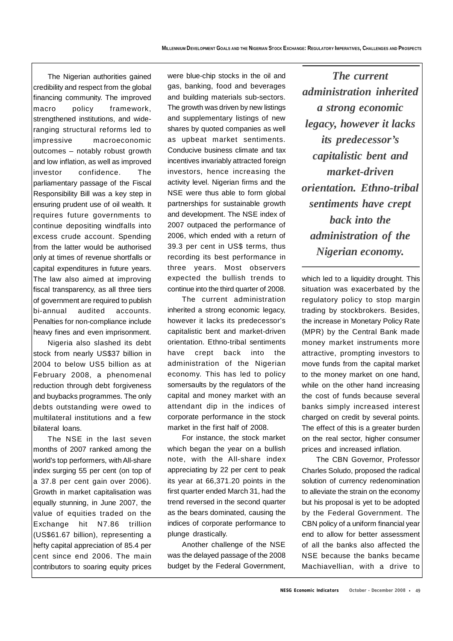The Nigerian authorities gained credibility and respect from the global financing community. The improved macro policy framework, strengthened institutions, and wideranging structural reforms led to impressive macroeconomic outcomes – notably robust growth and low inflation, as well as improved investor confidence. The parliamentary passage of the Fiscal Responsibility Bill was a key step in ensuring prudent use of oil wealth. It requires future governments to continue depositing windfalls into excess crude account. Spending from the latter would be authorised only at times of revenue shortfalls or capital expenditures in future years. The law also aimed at improving fiscal transparency, as all three tiers of government are required to publish bi-annual audited accounts. Penalties for non-compliance include heavy fines and even imprisonment.

Nigeria also slashed its debt stock from nearly US\$37 billion in 2004 to below US5 billion as at February 2008, a phenomenal reduction through debt forgiveness and buybacks programmes. The only debts outstanding were owed to multilateral institutions and a few bilateral loans.

The NSE in the last seven months of 2007 ranked among the world's top performers, with All-share index surging 55 per cent (on top of a 37.8 per cent gain over 2006). Growth in market capitalisation was equally stunning, in June 2007, the value of equities traded on the Exchange hit N7.86 trillion (US\$61.67 billion), representing a hefty capital appreciation of 85.4 per cent since end 2006. The main contributors to soaring equity prices

were blue-chip stocks in the oil and gas, banking, food and beverages and building materials sub-sectors. The growth was driven by new listings and supplementary listings of new shares by quoted companies as well as upbeat market sentiments. Conducive business climate and tax incentives invariably attracted foreign investors, hence increasing the activity level. Nigerian firms and the NSE were thus able to form global partnerships for sustainable growth and development. The NSE index of 2007 outpaced the performance of 2006, which ended with a return of 39.3 per cent in US\$ terms, thus recording its best performance in three years. Most observers expected the bullish trends to continue into the third quarter of 2008.

The current administration inherited a strong economic legacy, however it lacks its predecessor's capitalistic bent and market-driven orientation. Ethno-tribal sentiments have crept back into the administration of the Nigerian economy. This has led to policy somersaults by the regulators of the capital and money market with an attendant dip in the indices of corporate performance in the stock market in the first half of 2008.

For instance, the stock market which began the year on a bullish note, with the All-share index appreciating by 22 per cent to peak its year at 66,371.20 points in the first quarter ended March 31, had the trend reversed in the second quarter as the bears dominated, causing the indices of corporate performance to plunge drastically.

Another challenge of the NSE was the delayed passage of the 2008 budget by the Federal Government,

*The current administration inherited a strong economic legacy, however it lacks its predecessor's capitalistic bent and market-driven orientation. Ethno-tribal sentiments have crept back into the administration of the Nigerian economy.*

which led to a liquidity drought. This situation was exacerbated by the regulatory policy to stop margin trading by stockbrokers. Besides, the increase in Monetary Policy Rate (MPR) by the Central Bank made money market instruments more attractive, prompting investors to move funds from the capital market to the money market on one hand, while on the other hand increasing the cost of funds because several banks simply increased interest charged on credit by several points. The effect of this is a greater burden on the real sector, higher consumer prices and increased inflation.

The CBN Governor, Professor Charles Soludo, proposed the radical solution of currency redenomination to alleviate the strain on the economy but his proposal is yet to be adopted by the Federal Government. The CBN policy of a uniform financial year end to allow for better assessment of all the banks also affected the NSE because the banks became Machiavellian, with a drive to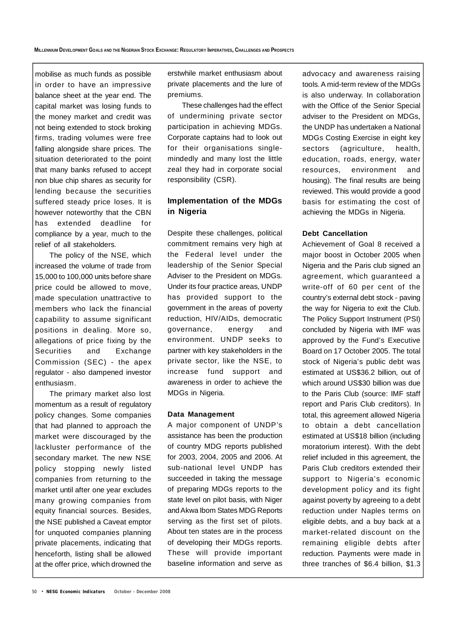mobilise as much funds as possible in order to have an impressive balance sheet at the year end. The capital market was losing funds to the money market and credit was not being extended to stock broking firms, trading volumes were free falling alongside share prices. The situation deteriorated to the point that many banks refused to accept non blue chip shares as security for lending because the securities suffered steady price loses. It is however noteworthy that the CBN has extended deadline for compliance by a year, much to the relief of all stakeholders.

The policy of the NSE, which increased the volume of trade from 15,000 to 100,000 units before share price could be allowed to move, made speculation unattractive to members who lack the financial capability to assume significant positions in dealing. More so, allegations of price fixing by the Securities and Exchange Commission (SEC) - the apex regulator - also dampened investor enthusiasm.

The primary market also lost momentum as a result of regulatory policy changes. Some companies that had planned to approach the market were discouraged by the lackluster performance of the secondary market. The new NSE policy stopping newly listed companies from returning to the market until after one year excludes many growing companies from equity financial sources. Besides, the NSE published a Caveat emptor for unquoted companies planning private placements, indicating that henceforth, listing shall be allowed at the offer price, which drowned the

erstwhile market enthusiasm about private placements and the lure of premiums.

These challenges had the effect of undermining private sector participation in achieving MDGs. Corporate captains had to look out for their organisations singlemindedly and many lost the little zeal they had in corporate social responsibility (CSR).

## **Implementation of the MDGs in Nigeria**

Despite these challenges, political commitment remains very high at the Federal level under the leadership of the Senior Special Adviser to the President on MDGs. Under its four practice areas, UNDP has provided support to the government in the areas of poverty reduction, HIV/AIDs, democratic governance, energy and environment. UNDP seeks to partner with key stakeholders in the private sector, like the NSE, to increase fund support and awareness in order to achieve the MDGs in Nigeria.

#### **Data Management**

A major component of UNDP's assistance has been the production of country MDG reports published for 2003, 2004, 2005 and 2006. At sub-national level UNDP has succeeded in taking the message of preparing MDGs reports to the state level on pilot basis, with Niger and Akwa Ibom States MDG Reports serving as the first set of pilots. About ten states are in the process of developing their MDGs reports. These will provide important baseline information and serve as advocacy and awareness raising tools. A mid-term review of the MDGs is also underway. In collaboration with the Office of the Senior Special adviser to the President on MDGs, the UNDP has undertaken a National MDGs Costing Exercise in eight key sectors (agriculture, health, education, roads, energy, water resources, environment and housing). The final results are being reviewed. This would provide a good basis for estimating the cost of achieving the MDGs in Nigeria.

#### **Debt Cancellation**

Achievement of Goal 8 received a major boost in October 2005 when Nigeria and the Paris club signed an agreement, which guaranteed a write-off of 60 per cent of the country's external debt stock - paving the way for Nigeria to exit the Club. The Policy Support Instrument (PSI) concluded by Nigeria with IMF was approved by the Fund's Executive Board on 17 October 2005. The total stock of Nigeria's public debt was estimated at US\$36.2 billion, out of which around US\$30 billion was due to the Paris Club (source: IMF staff report and Paris Club creditors). In total, this agreement allowed Nigeria to obtain a debt cancellation estimated at US\$18 billion (including moratorium interest). With the debt relief included in this agreement, the Paris Club creditors extended their support to Nigeria's economic development policy and its fight against poverty by agreeing to a debt reduction under Naples terms on eligible debts, and a buy back at a market-related discount on the remaining eligible debts after reduction. Payments were made in three tranches of \$6.4 billion, \$1.3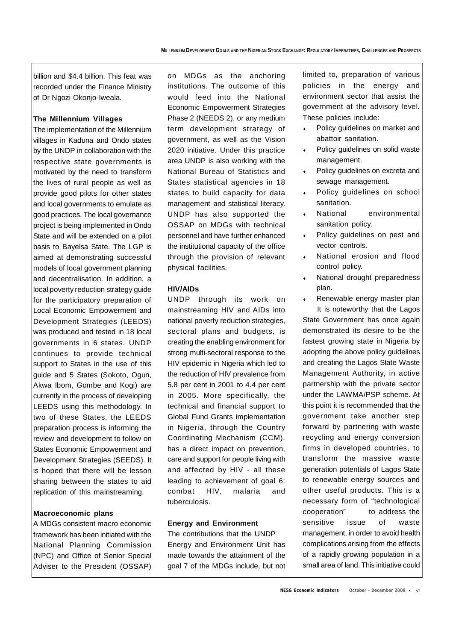billion and \$4.4 billion. This feat was recorded under the Finance Ministry of Dr Ngozi Okonjo-Iweala.

#### **The Millennium Villages**

The implementation of the Millennium villages in Kaduna and Ondo states by the UNDP in collaboration with the respective state governments is motivated by the need to transform the lives of rural people as well as provide good pilots for other states and local governments to emulate as good practices. The local governance project is being implemented in Ondo State and will be extended on a pilot basis to Bayelsa State. The LGP is aimed at demonstrating successful models of local government planning and decentralisation. In addition, a local poverty reduction strategy guide for the participatory preparation of Local Economic Empowerment and Development Strategies (LEEDS) was produced and tested in 18 local governments in 6 states. UNDP continues to provide technical support to States in the use of this guide and 5 States (Sokoto, Ogun, Akwa Ibom, Gombe and Kogi) are currently in the process of developing LEEDS using this methodology. In two of these States, the LEEDS preparation process is informing the review and development to follow on States Economic Empowerment and Development Strategies (SEEDS). It is hoped that there will be lesson sharing between the states to aid replication of this mainstreaming.

#### **Macroeconomic plans**

A MDGs consistent macro economic framework has been initiated with the National Planning Commission (NPC) and Office of Senior Special Adviser to the President (OSSAP)

on MDGs as the anchoring institutions. The outcome of this would feed into the National Economic Empowerment Strategies Phase 2 (NEEDS 2), or any medium term development strategy of government, as well as the Vision 2020 initiative. Under this practice area UNDP is also working with the National Bureau of Statistics and States statistical agencies in 18 states to build capacity for data management and statistical literacy. UNDP has also supported the OSSAP on MDGs with technical personnel and have further enhanced the institutional capacity of the office through the provision of relevant physical facilities.

#### **HIV/AIDs**

UNDP through its work on mainstreaming HIV and AIDs into national poverty reduction strategies, sectoral plans and budgets, is creating the enabling environment for strong multi-sectoral response to the HIV epidemic in Nigeria which led to the reduction of HIV prevalence from 5.8 per cent in 2001 to 4.4 per cent in 2005. More specifically, the technical and financial support to Global Fund Grants implementation in Nigeria, through the Country Coordinating Mechanism (CCM), has a direct impact on prevention, care and support for people living with and affected by HIV - all these leading to achievement of goal 6: combat HIV, malaria and tuberculosis.

#### **Energy and Environment**

The contributions that the UNDP Energy and Environment Unit has made towards the attainment of the goal 7 of the MDGs include, but not limited to, preparation of various policies in the energy and environment sector that assist the government at the advisory level. These policies include:

- Policy guidelines on market and abattoir sanitation.
- Policy guidelines on solid waste management.
- Policy guidelines on excreta and sewage management.
- Policy guidelines on school sanitation.
- National environmental sanitation policy.
- Policy guidelines on pest and vector controls.
- National erosion and flood control policy.
- National drought preparedness plan.
- Renewable energy master plan

It is noteworthy that the Lagos State Government has once again demonstrated its desire to be the fastest growing state in Nigeria by adopting the above policy guidelines and creating the Lagos State Waste Management Authority, in active partnership with the private sector under the LAWMA/PSP scheme. At this point it is recommended that the government take another step forward by partnering with waste recycling and energy conversion firms in developed countries, to transform the massive waste generation potentials of Lagos State to renewable energy sources and other useful products. This is a necessary form of "technological cooperation" to address the sensitive issue of waste management, in order to avoid health complications arising from the effects of a rapidly growing population in a small area of land. This initiative could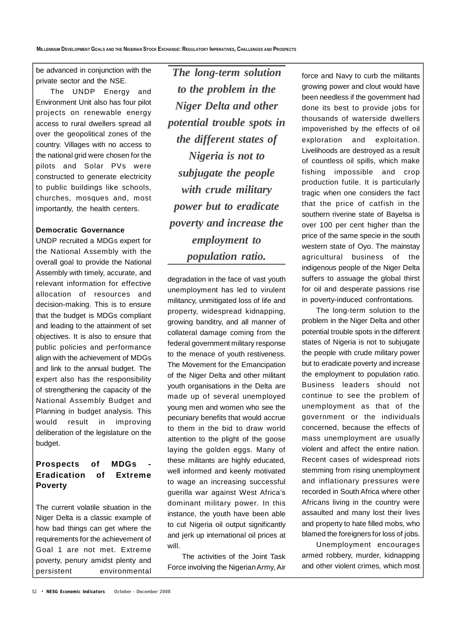be advanced in conjunction with the private sector and the NSE.

The UNDP Energy and Environment Unit also has four pilot projects on renewable energy access to rural dwellers spread all over the geopolitical zones of the country. Villages with no access to the national grid were chosen for the pilots and Solar PVs were constructed to generate electricity to public buildings like schools, churches, mosques and, most importantly, the health centers.

#### **Democratic Governance**

UNDP recruited a MDGs expert for the National Assembly with the overall goal to provide the National Assembly with timely, accurate, and relevant information for effective allocation of resources and decision-making. This is to ensure that the budget is MDGs compliant and leading to the attainment of set objectives. It is also to ensure that public policies and performance align with the achievement of MDGs and link to the annual budget. The expert also has the responsibility of strengthening the capacity of the National Assembly Budget and Planning in budget analysis. This would result in improving deliberation of the legislature on the budget.

## **Prospects of MDGs - Eradication of Extreme Poverty**

The current volatile situation in the Niger Delta is a classic example of how bad things can get where the requirements for the achievement of Goal 1 are not met. Extreme poverty, penury amidst plenty and persistent environmental

*The long-term solution to the problem in the Niger Delta and other potential trouble spots in the different states of Nigeria is not to subjugate the people with crude military power but to eradicate poverty and increase the employment to population ratio.*

degradation in the face of vast youth unemployment has led to virulent militancy, unmitigated loss of life and property, widespread kidnapping, growing banditry, and all manner of collateral damage coming from the federal government military response to the menace of youth restiveness. The Movement for the Emancipation of the Niger Delta and other militant youth organisations in the Delta are made up of several unemployed young men and women who see the pecuniary benefits that would accrue to them in the bid to draw world attention to the plight of the goose laying the golden eggs. Many of these militants are highly educated, well informed and keenly motivated to wage an increasing successful guerilla war against West Africa's dominant military power. In this instance, the youth have been able to cut Nigeria oil output significantly and jerk up international oil prices at will.

The activities of the Joint Task Force involving the Nigerian Army, Air force and Navy to curb the militants growing power and clout would have been needless if the government had done its best to provide jobs for thousands of waterside dwellers impoverished by the effects of oil exploration and exploitation. Livelihoods are destroyed as a result of countless oil spills, which make fishing impossible and crop production futile. It is particularly tragic when one considers the fact that the price of catfish in the southern riverine state of Bayelsa is over 100 per cent higher than the price of the same specie in the south western state of Oyo. The mainstay agricultural business of the indigenous people of the Niger Delta suffers to assuage the global thirst for oil and desperate passions rise in poverty-induced confrontations.

The long-term solution to the problem in the Niger Delta and other potential trouble spots in the different states of Nigeria is not to subjugate the people with crude military power but to eradicate poverty and increase the employment to population ratio. Business leaders should not continue to see the problem of unemployment as that of the government or the individuals concerned, because the effects of mass unemployment are usually violent and affect the entire nation. Recent cases of widespread riots stemming from rising unemployment and inflationary pressures were recorded in South Africa where other Africans living in the country were assaulted and many lost their lives and property to hate filled mobs, who blamed the foreigners for loss of jobs.

Unemployment encourages armed robbery, murder, kidnapping and other violent crimes, which most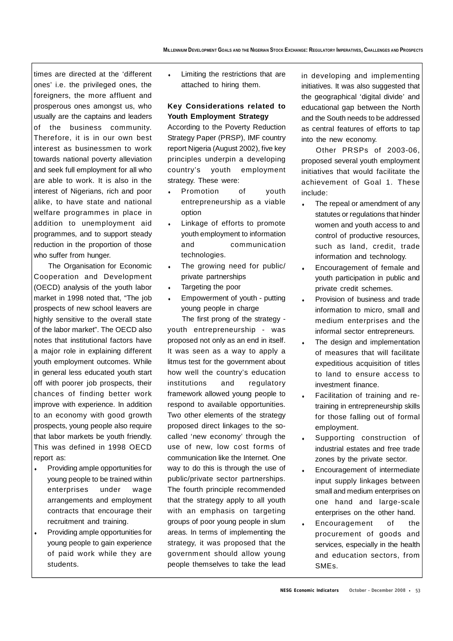times are directed at the 'different ones' i.e. the privileged ones, the foreigners, the more affluent and prosperous ones amongst us, who usually are the captains and leaders of the business community. Therefore, it is in our own best interest as businessmen to work towards national poverty alleviation and seek full employment for all who are able to work. It is also in the interest of Nigerians, rich and poor alike, to have state and national welfare programmes in place in addition to unemployment aid programmes, and to support steady reduction in the proportion of those who suffer from hunger.

The Organisation for Economic Cooperation and Development (OECD) analysis of the youth labor market in 1998 noted that, "The job prospects of new school leavers are highly sensitive to the overall state of the labor market". The OECD also notes that institutional factors have a major role in explaining different youth employment outcomes. While in general less educated youth start off with poorer job prospects, their chances of finding better work improve with experience. In addition to an economy with good growth prospects, young people also require that labor markets be youth friendly. This was defined in 1998 OECD report as:

- Providing ample opportunities for young people to be trained within enterprises under wage arrangements and employment contracts that encourage their recruitment and training.
- Providing ample opportunities for young people to gain experience of paid work while they are students.

 Limiting the restrictions that are attached to hiring them.

## **Key Considerations related to Youth Employment Strategy**

According to the Poverty Reduction Strategy Paper (PRSP), IMF country report Nigeria (August 2002), five key principles underpin a developing country's youth employment strategy. These were:

- Promotion of youth entrepreneurship as a viable option
- Linkage of efforts to promote youth employment to information and communication technologies.
- The growing need for public/ private partnerships
- Targeting the poor
- Empowerment of youth putting young people in charge

The first prong of the strategy youth entrepreneurship - was proposed not only as an end in itself. It was seen as a way to apply a litmus test for the government about how well the country's education institutions and regulatory framework allowed young people to respond to available opportunities. Two other elements of the strategy proposed direct linkages to the socalled 'new economy' through the use of new, low cost forms of communication like the Internet. One way to do this is through the use of public/private sector partnerships. The fourth principle recommended that the strategy apply to all youth with an emphasis on targeting groups of poor young people in slum areas. In terms of implementing the strategy, it was proposed that the government should allow young people themselves to take the lead

in developing and implementing initiatives. It was also suggested that the geographical 'digital divide' and educational gap between the North and the South needs to be addressed as central features of efforts to tap into the new economy.

Other PRSPs of 2003-06, proposed several youth employment initiatives that would facilitate the achievement of Goal 1. These include:

- The repeal or amendment of any statutes or regulations that hinder women and youth access to and control of productive resources, such as land, credit, trade information and technology.
- Encouragement of female and youth participation in public and private credit schemes.
- Provision of business and trade information to micro, small and medium enterprises and the informal sector entrepreneurs.
- The design and implementation of measures that will facilitate expeditious acquisition of titles to land to ensure access to investment finance.
- Facilitation of training and retraining in entrepreneurship skills for those falling out of formal employment.
- Supporting construction of industrial estates and free trade zones by the private sector.
- Encouragement of intermediate input supply linkages between small and medium enterprises on one hand and large-scale enterprises on the other hand.
- Encouragement of the procurement of goods and services, especially in the health and education sectors, from SMEs.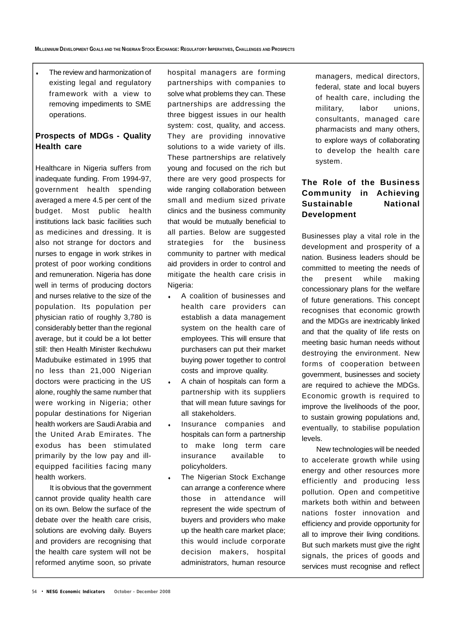The review and harmonization of existing legal and regulatory framework with a view to removing impediments to SME operations.

## **Prospects of MDGs - Quality Health care**

Healthcare in Nigeria suffers from inadequate funding. From 1994-97, government health spending averaged a mere 4.5 per cent of the budget. Most public health institutions lack basic facilities such as medicines and dressing. It is also not strange for doctors and nurses to engage in work strikes in protest of poor working conditions and remuneration. Nigeria has done well in terms of producing doctors and nurses relative to the size of the population. Its population per physician ratio of roughly 3,780 is considerably better than the regional average, but it could be a lot better still: then Health Minister Ikechukwu Madubuike estimated in 1995 that no less than 21,000 Nigerian doctors were practicing in the US alone, roughly the same number that were working in Nigeria; other popular destinations for Nigerian health workers are Saudi Arabia and the United Arab Emirates. The exodus has been stimulated primarily by the low pay and illequipped facilities facing many health workers.

It is obvious that the government cannot provide quality health care on its own. Below the surface of the debate over the health care crisis, solutions are evolving daily. Buyers and providers are recognising that the health care system will not be reformed anytime soon, so private hospital managers are forming partnerships with companies to solve what problems they can. These partnerships are addressing the three biggest issues in our health system: cost, quality, and access. They are providing innovative solutions to a wide variety of ills. These partnerships are relatively young and focused on the rich but there are very good prospects for wide ranging collaboration between small and medium sized private clinics and the business community that would be mutually beneficial to all parties. Below are suggested strategies for the business community to partner with medical aid providers in order to control and mitigate the health care crisis in Nigeria:

- A coalition of businesses and health care providers can establish a data management system on the health care of employees. This will ensure that purchasers can put their market buying power together to control costs and improve quality.
- A chain of hospitals can form a partnership with its suppliers that will mean future savings for all stakeholders.
- Insurance companies and hospitals can form a partnership to make long term care insurance available to policyholders.
- The Nigerian Stock Exchange can arrange a conference where those in attendance will represent the wide spectrum of buyers and providers who make up the health care market place; this would include corporate decision makers, hospital administrators, human resource

managers, medical directors, federal, state and local buyers of health care, including the military, labor unions, consultants, managed care pharmacists and many others, to explore ways of collaborating to develop the health care system.

## **The Role of the Business Community in Achieving Sustainable National Development**

Businesses play a vital role in the development and prosperity of a nation. Business leaders should be committed to meeting the needs of the present while making concessionary plans for the welfare of future generations. This concept recognises that economic growth and the MDGs are inextricably linked and that the quality of life rests on meeting basic human needs without destroying the environment. New forms of cooperation between government, businesses and society are required to achieve the MDGs. Economic growth is required to improve the livelihoods of the poor, to sustain growing populations and, eventually, to stabilise population levels.

New technologies will be needed to accelerate growth while using energy and other resources more efficiently and producing less pollution. Open and competitive markets both within and between nations foster innovation and efficiency and provide opportunity for all to improve their living conditions. But such markets must give the right signals, the prices of goods and services must recognise and reflect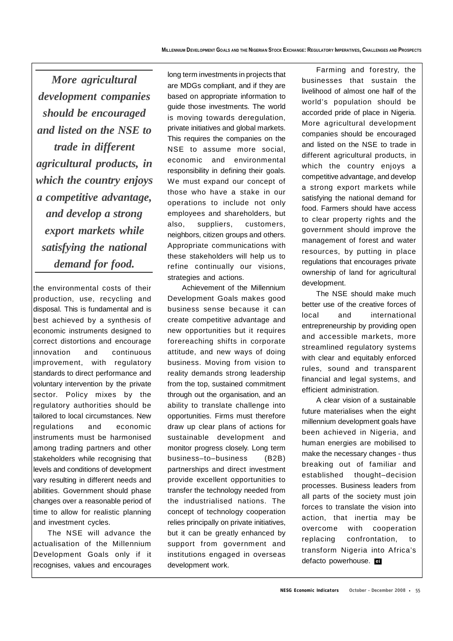*More agricultural development companies should be encouraged and listed on the NSE to trade in different agricultural products, in which the country enjoys a competitive advantage, and develop a strong export markets while satisfying the national demand for food.*

the environmental costs of their production, use, recycling and disposal. This is fundamental and is best achieved by a synthesis of economic instruments designed to correct distortions and encourage innovation and continuous improvement, with regulatory standards to direct performance and voluntary intervention by the private sector. Policy mixes by the regulatory authorities should be tailored to local circumstances. New regulations and economic instruments must be harmonised among trading partners and other stakeholders while recognising that levels and conditions of development vary resulting in different needs and abilities. Government should phase changes over a reasonable period of time to allow for realistic planning and investment cycles.

The NSE will advance the actualisation of the Millennium Development Goals only if it recognises, values and encourages long term investments in projects that are MDGs compliant, and if they are based on appropriate information to guide those investments. The world is moving towards deregulation, private initiatives and global markets. This requires the companies on the NSE to assume more social, economic and environmental responsibility in defining their goals. We must expand our concept of those who have a stake in our operations to include not only employees and shareholders, but also, suppliers, customers, neighbors, citizen groups and others. Appropriate communications with these stakeholders will help us to refine continually our visions, strategies and actions.

Achievement of the Millennium Development Goals makes good business sense because it can create competitive advantage and new opportunities but it requires forereaching shifts in corporate attitude, and new ways of doing business. Moving from vision to reality demands strong leadership from the top, sustained commitment through out the organisation, and an ability to translate challenge into opportunities. Firms must therefore draw up clear plans of actions for sustainable development and monitor progress closely. Long term business–to–business (B2B) partnerships and direct investment provide excellent opportunities to transfer the technology needed from the industrialised nations. The concept of technology cooperation relies principally on private initiatives, but it can be greatly enhanced by support from government and institutions engaged in overseas development work.

Farming and forestry, the businesses that sustain the livelihood of almost one half of the world's population should be accorded pride of place in Nigeria. More agricultural development companies should be encouraged and listed on the NSE to trade in different agricultural products, in which the country enjoys a competitive advantage, and develop a strong export markets while satisfying the national demand for food. Farmers should have access to clear property rights and the government should improve the management of forest and water resources, by putting in place regulations that encourages private ownership of land for agricultural development.

The NSE should make much better use of the creative forces of local and international entrepreneurship by providing open and accessible markets, more streamlined regulatory systems with clear and equitably enforced rules, sound and transparent financial and legal systems, and efficient administration.

A clear vision of a sustainable future materialises when the eight millennium development goals have been achieved in Nigeria, and human energies are mobilised to make the necessary changes - thus breaking out of familiar and established thought–decision processes. Business leaders from all parts of the society must join forces to translate the vision into action, that inertia may be overcome with cooperation replacing confrontation, to transform Nigeria into Africa's defacto powerhouse. **ei**